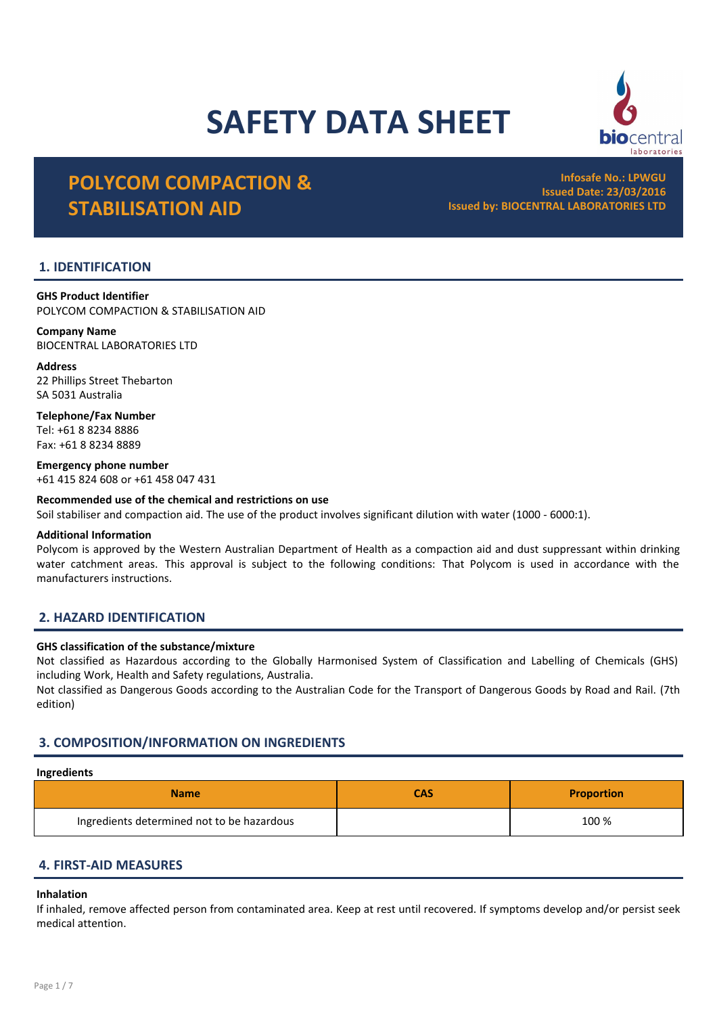# SAFETY DATA SHEET



Infosafe No.: LPWGU Issued Date: 23/03/2016 Issued by: BIOCENTRAL LABORATORIES LTD

ocentral

## 1. IDENTIFICATION

GHS Product Identifier POLYCOM COMPACTION & STABILISATION AID

Company Name BIOCENTRAL LABORATORIES LTD

Address 22 Phillips Street Thebarton SA 5031 Australia

Telephone/Fax Number Tel: +61 8 8234 8886 Fax: +61 8 8234 8889

Emergency phone number +61 415 824 608 or +61 458 047 431

#### Recommended use of the chemical and restrictions on use

Soil stabiliser and compaction aid. The use of the product involves significant dilution with water (1000 - 6000:1).

#### Additional Information

Polycom is approved by the Western Australian Department of Health as a compaction aid and dust suppressant within drinking water catchment areas. This approval is subject to the following conditions: That Polycom is used in accordance with the manufacturers instructions.

## 2. HAZARD IDENTIFICATION

#### GHS classification of the substance/mixture

Not classified as Hazardous according to the Globally Harmonised System of Classification and Labelling of Chemicals (GHS) including Work, Health and Safety regulations, Australia.

Not classified as Dangerous Goods according to the Australian Code for the Transport of Dangerous Goods by Road and Rail. (7th edition)

## 3. COMPOSITION/INFORMATION ON INGREDIENTS

## Ingredients

| <b>Name</b>                                | CAS | <b>Proportion</b> |
|--------------------------------------------|-----|-------------------|
| Ingredients determined not to be hazardous |     | 100 %             |

## 4. FIRST-AID MEASURES

#### Inhalation

If inhaled, remove affected person from contaminated area. Keep at rest until recovered. If symptoms develop and/or persist seek medical attention.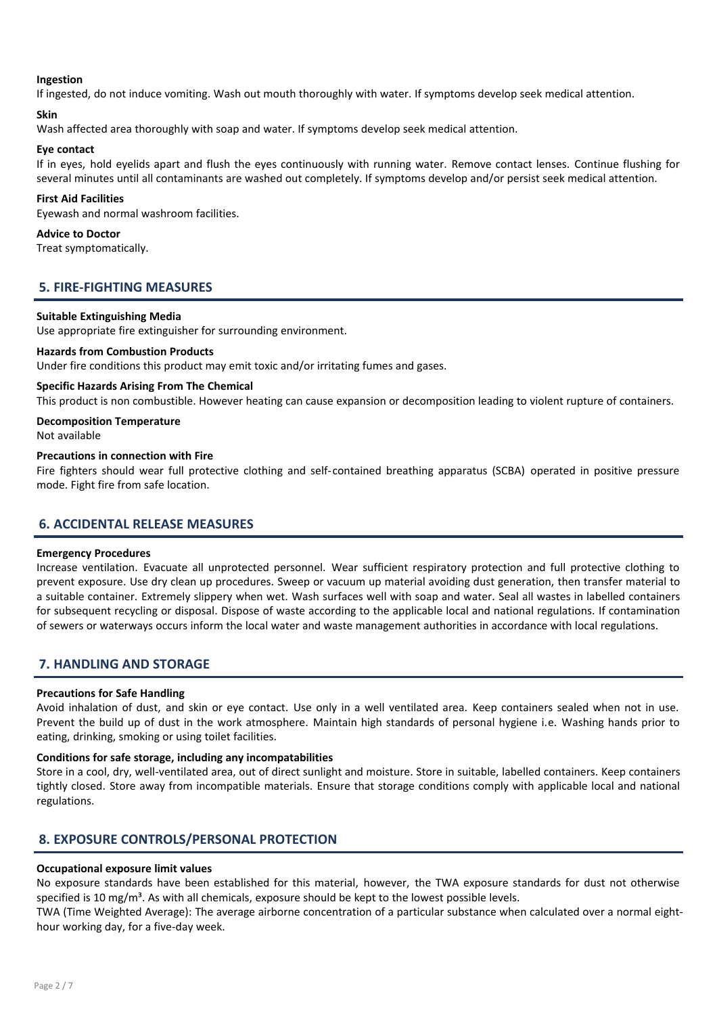#### Ingestion

If ingested, do not induce vomiting. Wash out mouth thoroughly with water. If symptoms develop seek medical attention.

#### Skin

Wash affected area thoroughly with soap and water. If symptoms develop seek medical attention.

#### Eye contact

If in eyes, hold eyelids apart and flush the eyes continuously with running water. Remove contact lenses. Continue flushing for several minutes until all contaminants are washed out completely. If symptoms develop and/or persist seek medical attention.

#### First Aid Facilities

Eyewash and normal washroom facilities.

#### Advice to Doctor

Treat symptomatically.

## 5. FIRE-FIGHTING MEASURES

#### Suitable Extinguishing Media

Use appropriate fire extinguisher for surrounding environment.

#### Hazards from Combustion Products

Under fire conditions this product may emit toxic and/or irritating fumes and gases.

#### Specific Hazards Arising From The Chemical

This product is non combustible. However heating can cause expansion or decomposition leading to violent rupture of containers.

#### Decomposition Temperature

Not available

## Precautions in connection with Fire

Fire fighters should wear full protective clothing and self-contained breathing apparatus (SCBA) operated in positive pressure mode. Fight fire from safe location.

## 6. ACCIDENTAL RELEASE MEASURES

#### Emergency Procedures

Increase ventilation. Evacuate all unprotected personnel. Wear sufficient respiratory protection and full protective clothing to prevent exposure. Use dry clean up procedures. Sweep or vacuum up material avoiding dust generation, then transfer material to a suitable container. Extremely slippery when wet. Wash surfaces well with soap and water. Seal all wastes in labelled containers for subsequent recycling or disposal. Dispose of waste according to the applicable local and national regulations. If contamination of sewers or waterways occurs inform the local water and waste management authorities in accordance with local regulations.

#### 7. HANDLING AND STORAGE

#### Precautions for Safe Handling

Avoid inhalation of dust, and skin or eye contact. Use only in a well ventilated area. Keep containers sealed when not in use. Prevent the build up of dust in the work atmosphere. Maintain high standards of personal hygiene i.e. Washing hands prior to eating, drinking, smoking or using toilet facilities.

#### Conditions for safe storage, including any incompatabilities

Store in a cool, dry, well-ventilated area, out of direct sunlight and moisture. Store in suitable, labelled containers. Keep containers tightly closed. Store away from incompatible materials. Ensure that storage conditions comply with applicable local and national regulations.

## 8. EXPOSURE CONTROLS/PERSONAL PROTECTION

#### Occupational exposure limit values

No exposure standards have been established for this material, however, the TWA exposure standards for dust not otherwise specified is 10 mg/m<sup>3</sup>. As with all chemicals, exposure should be kept to the lowest possible levels.

TWA (Time Weighted Average): The average airborne concentration of a particular substance when calculated over a normal eighthour working day, for a five-day week.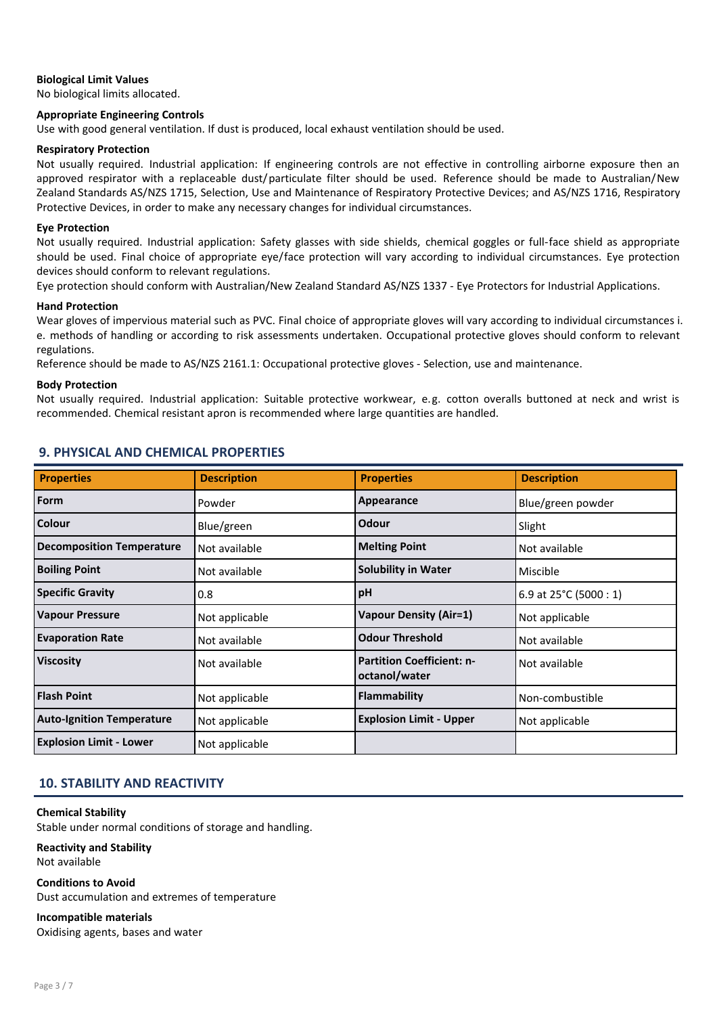#### Biological Limit Values

No biological limits allocated.

#### Appropriate Engineering Controls

Use with good general ventilation. If dust is produced, local exhaust ventilation should be used.

#### Respiratory Protection

Not usually required. Industrial application: If engineering controls are not effective in controlling airborne exposure then an approved respirator with a replaceable dust/particulate filter should be used. Reference should be made to Australian/New Zealand Standards AS/NZS 1715, Selection, Use and Maintenance of Respiratory Protective Devices; and AS/NZS 1716, Respiratory Protective Devices, in order to make any necessary changes for individual circumstances.

#### Eye Protection

Not usually required. Industrial application: Safety glasses with side shields, chemical goggles or full-face shield as appropriate should be used. Final choice of appropriate eye/face protection will vary according to individual circumstances. Eye protection devices should conform to relevant regulations.

Eye protection should conform with Australian/New Zealand Standard AS/NZS 1337 - Eye Protectors for Industrial Applications.

#### Hand Protection

Wear gloves of impervious material such as PVC. Final choice of appropriate gloves will vary according to individual circumstances i. e. methods of handling or according to risk assessments undertaken. Occupational protective gloves should conform to relevant regulations.

Reference should be made to AS/NZS 2161.1: Occupational protective gloves - Selection, use and maintenance.

#### Body Protection

Not usually required. Industrial application: Suitable protective workwear, e.g. cotton overalls buttoned at neck and wrist is recommended. Chemical resistant apron is recommended where large quantities are handled.

## 9. PHYSICAL AND CHEMICAL PROPERTIES

| <b>Properties</b>                | <b>Description</b> | <b>Properties</b>                                 | <b>Description</b>               |
|----------------------------------|--------------------|---------------------------------------------------|----------------------------------|
| Form                             | Powder             | Appearance                                        | Blue/green powder                |
| Colour                           | Blue/green         | Odour                                             | Slight                           |
| <b>Decomposition Temperature</b> | Not available      | <b>Melting Point</b>                              | Not available                    |
| <b>Boiling Point</b>             | Not available      | <b>Solubility in Water</b>                        | Miscible                         |
| <b>Specific Gravity</b>          | 0.8                | pH                                                | 6.9 at $25^{\circ}$ C (5000 : 1) |
| <b>Vapour Pressure</b>           | Not applicable     | <b>Vapour Density (Air=1)</b>                     | Not applicable                   |
| <b>Evaporation Rate</b>          | Not available      | <b>Odour Threshold</b>                            | Not available                    |
| <b>Viscosity</b>                 | Not available      | <b>Partition Coefficient: n-</b><br>octanol/water | Not available                    |
| <b>Flash Point</b>               | Not applicable     | <b>Flammability</b>                               | Non-combustible                  |
| <b>Auto-Ignition Temperature</b> | Not applicable     | <b>Explosion Limit - Upper</b>                    | Not applicable                   |
| <b>Explosion Limit - Lower</b>   | Not applicable     |                                                   |                                  |

## 10. STABILITY AND REACTIVITY

#### Chemical Stability

Stable under normal conditions of storage and handling.

#### Reactivity and Stability Not available

Conditions to Avoid Dust accumulation and extremes of temperature

#### Incompatible materials

Oxidising agents, bases and water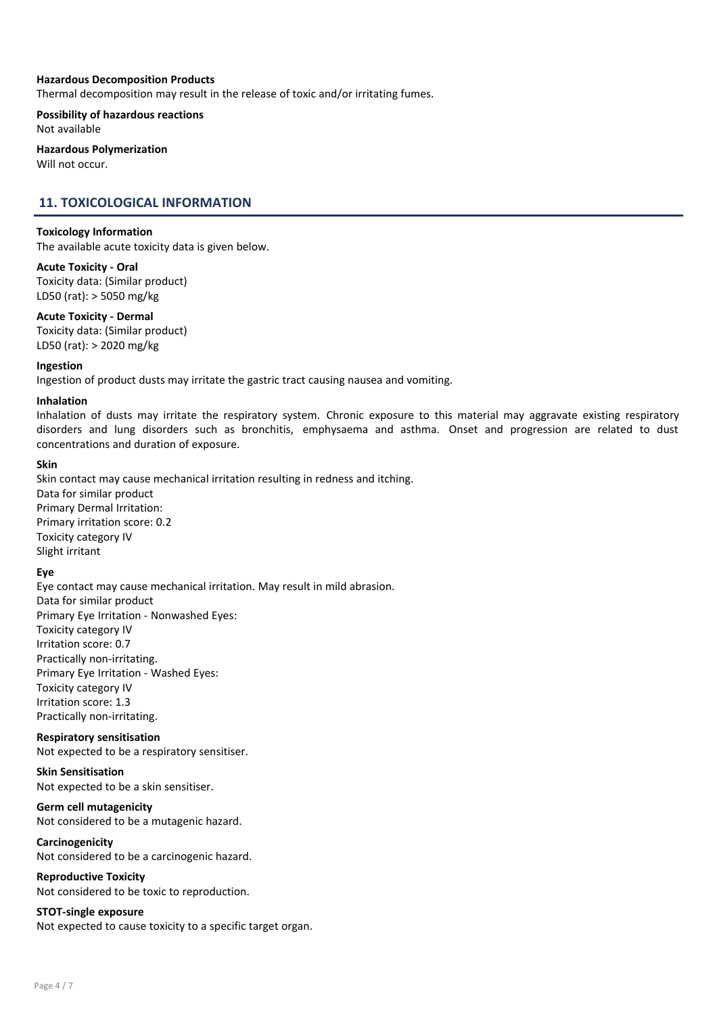#### Hazardous Decomposition Products

Thermal decomposition may result in the release of toxic and/or irritating fumes.

Possibility of hazardous reactions Not available

#### Hazardous Polymerization Will not occur.

## 11. TOXICOLOGICAL INFORMATION

#### Toxicology Information

The available acute toxicity data is given below.

### Acute Toxicity - Oral

Toxicity data: (Similar product) LD50 (rat): > 5050 mg/kg

#### Acute Toxicity - Dermal

Toxicity data: (Similar product) LD50 (rat): > 2020 mg/kg

#### Ingestion

Ingestion of product dusts may irritate the gastric tract causing nausea and vomiting.

#### Inhalation

Inhalation of dusts may irritate the respiratory system. Chronic exposure to this material may aggravate existing respiratory disorders and lung disorders such as bronchitis, emphysaema and asthma. Onset and progression are related to dust concentrations and duration of exposure.

#### Skin

Skin contact may cause mechanical irritation resulting in redness and itching. Data for similar product Primary Dermal Irritation: Primary irritation score: 0.2 Toxicity category IV Slight irritant

#### Eye

Eye contact may cause mechanical irritation. May result in mild abrasion. Data for similar product Primary Eye Irritation - Nonwashed Eyes: Toxicity category IV Irritation score: 0.7 Practically non-irritating. Primary Eye Irritation - Washed Eyes: Toxicity category IV Irritation score: 1.3 Practically non-irritating.

#### Respiratory sensitisation

Not expected to be a respiratory sensitiser.

# Skin Sensitisation

Not expected to be a skin sensitiser.

## Germ cell mutagenicity

Not considered to be a mutagenic hazard.

#### Carcinogenicity Not considered to be a carcinogenic hazard.

Reproductive Toxicity Not considered to be toxic to reproduction.

#### STOT-single exposure

Not expected to cause toxicity to a specific target organ.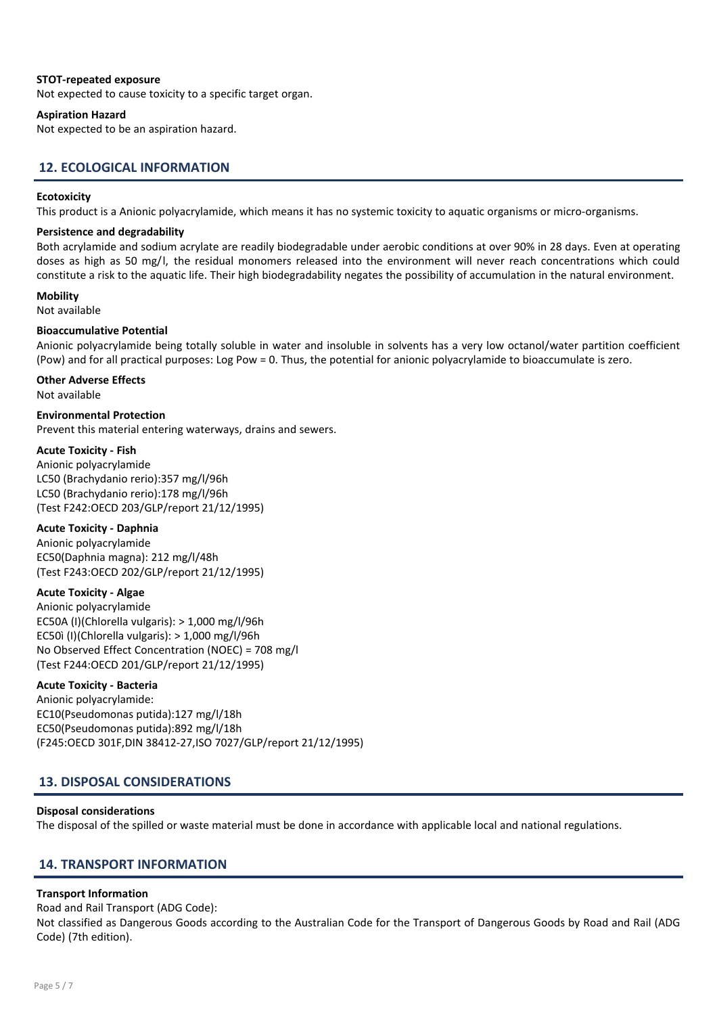#### STOT-repeated exposure

Not expected to cause toxicity to a specific target organ.

#### Aspiration Hazard

Not expected to be an aspiration hazard.

## 12. ECOLOGICAL INFORMATION

#### **Ecotoxicity**

This product is a Anionic polyacrylamide, which means it has no systemic toxicity to aquatic organisms or micro-organisms.

#### Persistence and degradability

Both acrylamide and sodium acrylate are readily biodegradable under aerobic conditions at over 90% in 28 days. Even at operating doses as high as 50 mg/l, the residual monomers released into the environment will never reach concentrations which could constitute a risk to the aquatic life. Their high biodegradability negates the possibility of accumulation in the natural environment.

## **Mobility**

#### Not available

#### Bioaccumulative Potential

Anionic polyacrylamide being totally soluble in water and insoluble in solvents has a very low octanol/water partition coefficient (Pow) and for all practical purposes: Log Pow = 0. Thus, the potential for anionic polyacrylamide to bioaccumulate is zero.

# Other Adverse Effects

Not available

### Environmental Protection

Prevent this material entering waterways, drains and sewers.

#### Acute Toxicity - Fish

Anionic polyacrylamide LC50 (Brachydanio rerio):357 mg/l/96h LC50 (Brachydanio rerio):178 mg/l/96h (Test F242:OECD 203/GLP/report 21/12/1995)

#### Acute Toxicity - Daphnia

Anionic polyacrylamide EC50(Daphnia magna): 212 mg/l/48h (Test F243:OECD 202/GLP/report 21/12/1995)

#### Acute Toxicity - Algae

Anionic polyacrylamide EC50A (I)(Chlorella vulgaris): > 1,000 mg/l/96h EC50ì (I)(Chlorella vulgaris): > 1,000 mg/l/96h No Observed Effect Concentration (NOEC) = 708 mg/l (Test F244:OECD 201/GLP/report 21/12/1995)

#### Acute Toxicity - Bacteria

Anionic polyacrylamide: EC10(Pseudomonas putida):127 mg/l/18h EC50(Pseudomonas putida):892 mg/l/18h (F245:OECD 301F,DIN 38412-27,ISO 7027/GLP/report 21/12/1995)

### 13. DISPOSAL CONSIDERATIONS

#### Disposal considerations

The disposal of the spilled or waste material must be done in accordance with applicable local and national regulations.

#### 14. TRANSPORT INFORMATION

#### Transport Information

Road and Rail Transport (ADG Code): Not classified as Dangerous Goods according to the Australian Code for the Transport of Dangerous Goods by Road and Rail (ADG Code) (7th edition).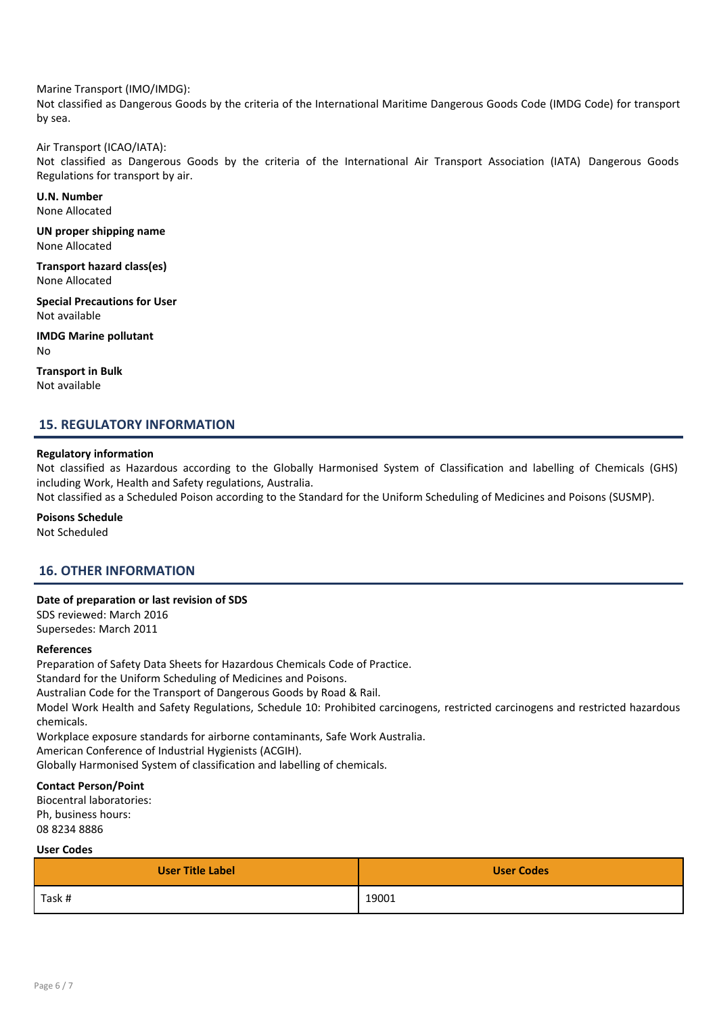Marine Transport (IMO/IMDG):

Not classified as Dangerous Goods by the criteria of the International Maritime Dangerous Goods Code (IMDG Code) for transport by sea.

#### Air Transport (ICAO/IATA):

Not classified as Dangerous Goods by the criteria of the International Air Transport Association (IATA) Dangerous Goods Regulations for transport by air.

U.N. Number None Allocated

UN proper shipping name None Allocated

Transport hazard class(es) None Allocated

Special Precautions for User Not available

IMDG Marine pollutant No

Transport in Bulk Not available

## 15. REGULATORY INFORMATION

#### Regulatory information

Not classified as Hazardous according to the Globally Harmonised System of Classification and labelling of Chemicals (GHS) including Work, Health and Safety regulations, Australia.

Not classified as a Scheduled Poison according to the Standard for the Uniform Scheduling of Medicines and Poisons (SUSMP).

Poisons Schedule

Not Scheduled

## 16. OTHER INFORMATION

#### Date of preparation or last revision of SDS

SDS reviewed: March 2016 Supersedes: March 2011

#### References

Preparation of Safety Data Sheets for Hazardous Chemicals Code of Practice.

Standard for the Uniform Scheduling of Medicines and Poisons.

Australian Code for the Transport of Dangerous Goods by Road & Rail.

Model Work Health and Safety Regulations, Schedule 10: Prohibited carcinogens, restricted carcinogens and restricted hazardous chemicals.

Workplace exposure standards for airborne contaminants, Safe Work Australia. American Conference of Industrial Hygienists (ACGIH).

## Globally Harmonised System of classification and labelling of chemicals.

#### Contact Person/Point

Biocentral laboratories: Ph, business hours: 08 8234 8886

#### User Codes

| <b>User Title Label</b> | <b>User Codes</b> |
|-------------------------|-------------------|
| Task #                  | 19001             |